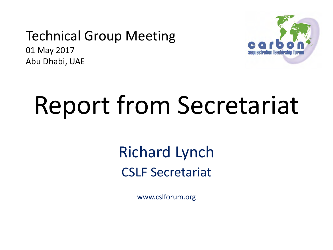### Technical Group Meeting

01 May 2017 Abu Dhabi, UAE



# Report from Secretariat

### Richard Lynch CSLF Secretariat

www.cslforum.org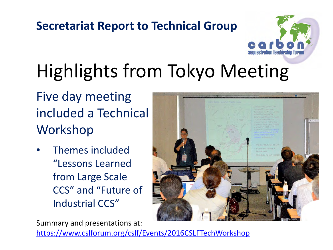

## Highlights from Tokyo Meeting

Five day meeting included a Technical Workshop

• Themes included "Lessons Learned from Large Scale CCS" and "Future of Industrial CCS"

Summary and presentations at:

<https://www.cslforum.org/cslf/Events/2016CSLFTechWorkshop>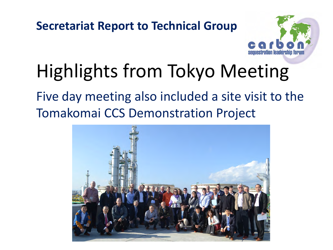

### Highlights from Tokyo Meeting

Five day meeting also included a site visit to the Tomakomai CCS Demonstration Project

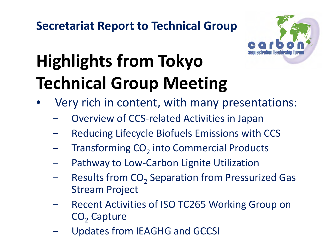

### **Highlights from Tokyo Technical Group Meeting**

- Very rich in content, with many presentations:
	- Overview of CCS-related Activities in Japan
	- Reducing Lifecycle Biofuels Emissions with CCS
	- Transforming CO<sub>2</sub> into Commercial Products
	- Pathway to Low-Carbon Lignite Utilization
	- Results from  $CO<sub>2</sub>$  Separation from Pressurized Gas Stream Project
	- Recent Activities of ISO TC265 Working Group on CO<sub>2</sub> Capture
	- Updates from IEAGHG and GCCSI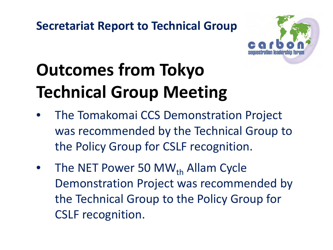

### **Outcomes from Tokyo Technical Group Meeting**

- The Tomakomai CCS Demonstration Project was recommended by the Technical Group to the Policy Group for CSLF recognition.
- The NET Power 50 MW $_{th}$  Allam Cycle Demonstration Project was recommended by the Technical Group to the Policy Group for CSLF recognition.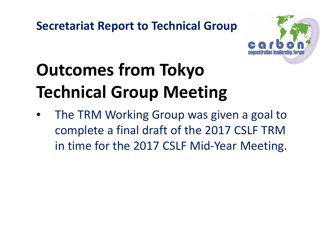

### **Outcomes from Tokyo Technical Group Meeting**

The TRM Working Group was given a goal to complete a final draft of the 2017 CSLF TRM in time for the 2017 CSLF Mid-Year Meeting.